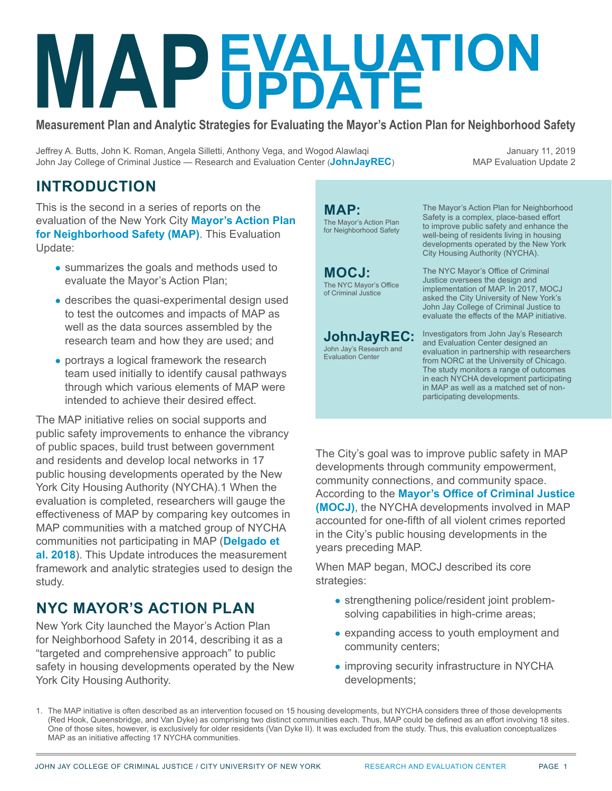# Measurement Plan and Analytic Str **EVALUATION UPDATE**

**Measurement Plan and Analytic Strategies for Evaluating the Mayor's Action Plan for Neighborhood Safety**

Jeffrey A. Butts, John K. Roman, Angela Silletti, Anthony Vega, and Wogod Alawlaqi John Jay College of Criminal Justice — Research and Evaluation Center (**[JohnJayREC](http://JohnJayREC.nyc)**)

January 11, 2019 MAP Evaluation Update 2

### **INTRODUCTION**

This is the second in a series of reports on the evaluation of the New York City **[Mayor's Action Plan](https://criminaljustice.cityofnewyork.us/programs/map/) [for Neighborhood Safety \(MAP\)](https://criminaljustice.cityofnewyork.us/programs/map/)**. This Evaluation Update:

- summarizes the goals and methods used to evaluate the Mayor's Action Plan;
- describes the quasi-experimental design used to test the outcomes and impacts of MAP as well as the data sources assembled by the research team and how they are used; and
- portrays a logical framework the research team used initially to identify causal pathways through which various elements of MAP were intended to achieve their desired effect.

The MAP initiative relies on social supports and public safety improvements to enhance the vibrancy of public spaces, build trust between government and residents and develop local networks in 17 public housing developments operated by the New York City Housing Authority (NYCHA).1 When the evaluation is completed, researchers will gauge the effectiveness of MAP by comparing key outcomes in MAP communities with a matched group of NYCHA communities not participating in MAP (**[Delgado et](https://johnjayrec.nyc/2018/08/10/mapupdate1/)  [al. 2018](https://johnjayrec.nyc/2018/08/10/mapupdate1/)**). This Update introduces the measurement framework and analytic strategies used to design the study.

### **NYC MAYOR'S ACTION PLAN**

New York City launched the Mayor's Action Plan for Neighborhood Safety in 2014, describing it as a "targeted and comprehensive approach" to public safety in housing developments operated by the New York City Housing Authority.

**MAP:** The Mayor's Action Plan for Neighborhood Safety The Mayor's Action Plan for Neighborhood Safety is a complex, place-based effort to improve public safety and enhance the well-being of residents living in housing developments operated by the New York City Housing Authority (NYCHA). The NYC Mayor's Office of Criminal Justice oversees the design and implementation of MAP. In 2017, MOCJ asked the City University of New York's John Jay College of Criminal Justice to evaluate the effects of the MAP initiative. Investigators from John Jay's Research and Evaluation Center designed an evaluation in partnership with researchers from NORC at the University of Chicago. The study monitors a range of outcomes in each NYCHA development participating in MAP as well as a matched set of nonparticipating developments. **MOCJ:** The NYC Mayor's Office of Criminal Justice **JohnJayREC:** John Jay's Research and Evaluation Center

The City's goal was to improve public safety in MAP developments through community empowerment, community connections, and community space. According to the **[Mayor's Office of Criminal Justice](https://criminaljustice.cityofnewyork.us/)  [\(MOCJ\)](https://criminaljustice.cityofnewyork.us/)**, the NYCHA developments involved in MAP accounted for one-fifth of all violent crimes reported in the City's public housing developments in the years preceding MAP.

When MAP began, MOCJ described its core strategies:

- strengthening police/resident joint problemsolving capabilities in high-crime areas;
- expanding access to youth employment and community centers;
- improving security infrastructure in NYCHA developments;

1. The MAP initiative is often described as an intervention focused on 15 housing developments, but NYCHA considers three of those developments (Red Hook, Queensbridge, and Van Dyke) as comprising two distinct communities each. Thus, MAP could be defined as an effort involving 18 sites. One of those sites, however, is exclusively for older residents (Van Dyke II). It was excluded from the study. Thus, this evaluation conceptualizes MAP as an initiative affecting 17 NYCHA communities.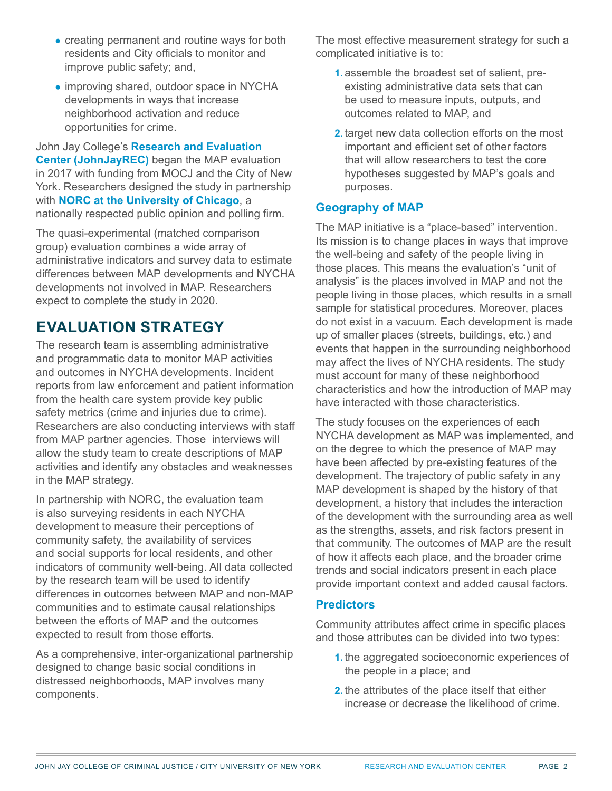[JOHN JAY COLLEGE OF CRIMINAL JUSTICE / CITY UNIVERSITY OF NEW YORK](http://www.jjay.cuny.edu/) [RESEARCH AND EVALUATION CENTER](http://JohnJayREC.nyc) PAGE 2

- creating permanent and routine ways for both residents and City officials to monitor and improve public safety; and,
- improving shared, outdoor space in NYCHA developments in ways that increase neighborhood activation and reduce opportunities for crime.

John Jay College's **[Research and Evaluation](http://JohnJayREC.nyc)  [Center \(JohnJayREC\)](http://JohnJayREC.nyc)** began the MAP evaluation in 2017 with funding from MOCJ and the City of New York. Researchers designed the study in partnership with **[NORC at the University of Chicago](http://www.norc.org)**, a nationally respected public opinion and polling firm.

The quasi-experimental (matched comparison group) evaluation combines a wide array of administrative indicators and survey data to estimate differences between MAP developments and NYCHA developments not involved in MAP. Researchers expect to complete the study in 2020.

### **EVALUATION STRATEGY**

The research team is assembling administrative and programmatic data to monitor MAP activities and outcomes in NYCHA developments. Incident reports from law enforcement and patient information from the health care system provide key public safety metrics (crime and injuries due to crime). Researchers are also conducting interviews with staff from MAP partner agencies. Those interviews will allow the study team to create descriptions of MAP activities and identify any obstacles and weaknesses in the MAP strategy.

In partnership with NORC, the evaluation team is also surveying residents in each NYCHA development to measure their perceptions of community safety, the availability of services and social supports for local residents, and other indicators of community well-being. All data collected by the research team will be used to identify differences in outcomes between MAP and non-MAP communities and to estimate causal relationships between the efforts of MAP and the outcomes expected to result from those efforts.

As a comprehensive, inter-organizational partnership designed to change basic social conditions in distressed neighborhoods, MAP involves many components.

The most effective measurement strategy for such a complicated initiative is to:

- **1.** assemble the broadest set of salient, preexisting administrative data sets that can be used to measure inputs, outputs, and outcomes related to MAP, and
- **2.** target new data collection efforts on the most important and efficient set of other factors that will allow researchers to test the core hypotheses suggested by MAP's goals and purposes.

#### **Geography of MAP**

The MAP initiative is a "place-based" intervention. Its mission is to change places in ways that improve the well-being and safety of the people living in those places. This means the evaluation's "unit of analysis" is the places involved in MAP and not the people living in those places, which results in a small sample for statistical procedures. Moreover, places do not exist in a vacuum. Each development is made up of smaller places (streets, buildings, etc.) and events that happen in the surrounding neighborhood may affect the lives of NYCHA residents. The study must account for many of these neighborhood characteristics and how the introduction of MAP may have interacted with those characteristics.

The study focuses on the experiences of each NYCHA development as MAP was implemented, and on the degree to which the presence of MAP may have been affected by pre-existing features of the development. The trajectory of public safety in any MAP development is shaped by the history of that development, a history that includes the interaction of the development with the surrounding area as well as the strengths, assets, and risk factors present in that community. The outcomes of MAP are the result of how it affects each place, and the broader crime trends and social indicators present in each place provide important context and added causal factors.

#### **Predictors**

Community attributes affect crime in specific places and those attributes can be divided into two types:

- **1.** the aggregated socioeconomic experiences of the people in a place; and
- **2.** the attributes of the place itself that either increase or decrease the likelihood of crime.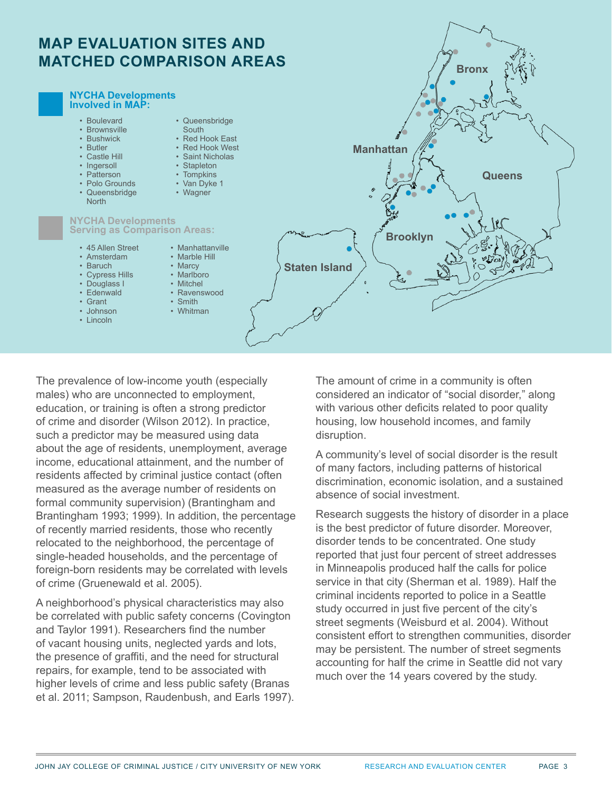



The prevalence of low-income youth (especially males) who are unconnected to employment, education, or training is often a strong predictor of crime and disorder (Wilson 2012). In practice, such a predictor may be measured using data about the age of residents, unemployment, average income, educational attainment, and the number of residents affected by criminal justice contact (often measured as the average number of residents on formal community supervision) (Brantingham and Brantingham 1993; 1999). In addition, the percentage of recently married residents, those who recently relocated to the neighborhood, the percentage of single-headed households, and the percentage of foreign-born residents may be correlated with levels of crime (Gruenewald et al. 2005).

A neighborhood's physical characteristics may also be correlated with public safety concerns (Covington and Taylor 1991). Researchers find the number of vacant housing units, neglected yards and lots, the presence of graffiti, and the need for structural repairs, for example, tend to be associated with higher levels of crime and less public safety (Branas et al. 2011; Sampson, Raudenbush, and Earls 1997). The amount of crime in a community is often considered an indicator of "social disorder," along with various other deficits related to poor quality housing, low household incomes, and family disruption.

A community's level of social disorder is the result of many factors, including patterns of historical discrimination, economic isolation, and a sustained absence of social investment.

Research suggests the history of disorder in a place is the best predictor of future disorder. Moreover, disorder tends to be concentrated. One study reported that just four percent of street addresses in Minneapolis produced half the calls for police service in that city (Sherman et al. 1989). Half the criminal incidents reported to police in a Seattle study occurred in just five percent of the city's street segments (Weisburd et al. 2004). Without consistent effort to strengthen communities, disorder may be persistent. The number of street segments accounting for half the crime in Seattle did not vary much over the 14 years covered by the study.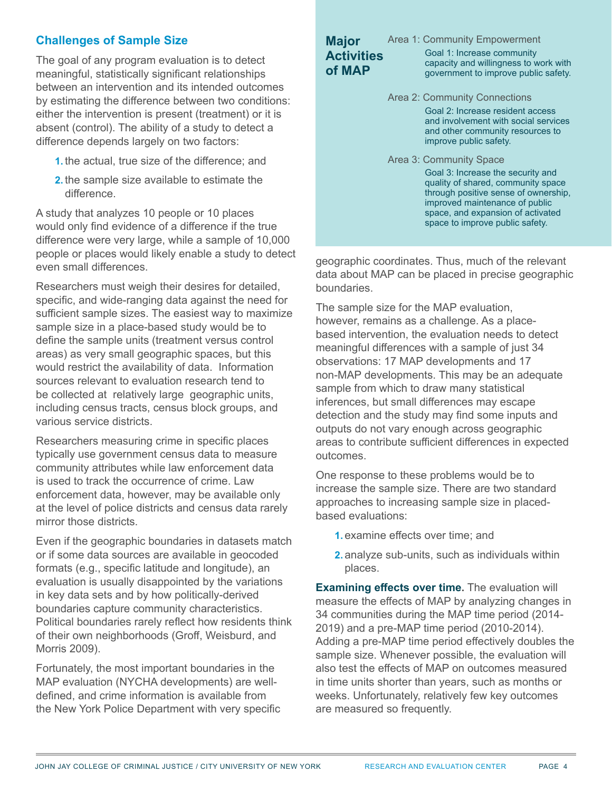#### **Challenges of Sample Size**

The goal of any program evaluation is to detect meaningful, statistically significant relationships between an intervention and its intended outcomes by estimating the difference between two conditions: either the intervention is present (treatment) or it is absent (control). The ability of a study to detect a difference depends largely on two factors:

- **1.** the actual, true size of the difference; and
- **2.** the sample size available to estimate the difference.

A study that analyzes 10 people or 10 places would only find evidence of a difference if the true difference were very large, while a sample of 10,000 people or places would likely enable a study to detect even small differences.

Researchers must weigh their desires for detailed, specific, and wide-ranging data against the need for sufficient sample sizes. The easiest way to maximize sample size in a place-based study would be to define the sample units (treatment versus control areas) as very small geographic spaces, but this would restrict the availability of data. Information sources relevant to evaluation research tend to be collected at relatively large geographic units, including census tracts, census block groups, and various service districts.

Researchers measuring crime in specific places typically use government census data to measure community attributes while law enforcement data is used to track the occurrence of crime. Law enforcement data, however, may be available only at the level of police districts and census data rarely mirror those districts.

Even if the geographic boundaries in datasets match or if some data sources are available in geocoded formats (e.g., specific latitude and longitude), an evaluation is usually disappointed by the variations in key data sets and by how politically-derived boundaries capture community characteristics. Political boundaries rarely reflect how residents think of their own neighborhoods (Groff, Weisburd, and Morris 2009).

Fortunately, the most important boundaries in the MAP evaluation (NYCHA developments) are welldefined, and crime information is available from the New York Police Department with very specific

#### **Major Activities of MAP**

Area 1: Community Empowerment Goal 1: Increase community capacity and willingness to work with government to improve public safety.

Area 2: Community Connections Goal 2: Increase resident access and involvement with social services and other community resources to improve public safety.

Area 3: Community Space Goal 3: Increase the security and quality of shared, community space through positive sense of ownership, improved maintenance of public space, and expansion of activated space to improve public safety.

geographic coordinates. Thus, much of the relevant data about MAP can be placed in precise geographic boundaries.

The sample size for the MAP evaluation, however, remains as a challenge. As a placebased intervention, the evaluation needs to detect meaningful differences with a sample of just 34 observations: 17 MAP developments and 17 non-MAP developments. This may be an adequate sample from which to draw many statistical inferences, but small differences may escape detection and the study may find some inputs and outputs do not vary enough across geographic areas to contribute sufficient differences in expected outcomes.

One response to these problems would be to increase the sample size. There are two standard approaches to increasing sample size in placedbased evaluations:

- **1.** examine effects over time; and
- **2.** analyze sub-units, such as individuals within places.

**Examining effects over time.** The evaluation will measure the effects of MAP by analyzing changes in 34 communities during the MAP time period (2014- 2019) and a pre-MAP time period (2010-2014). Adding a pre-MAP time period effectively doubles the sample size. Whenever possible, the evaluation will also test the effects of MAP on outcomes measured in time units shorter than years, such as months or weeks. Unfortunately, relatively few key outcomes are measured so frequently.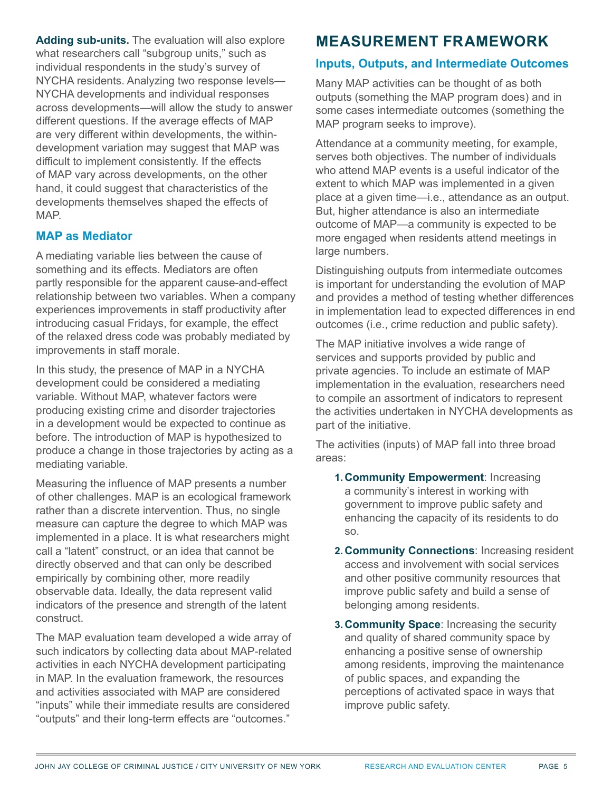**Adding sub-units.** The evaluation will also explore what researchers call "subgroup units," such as individual respondents in the study's survey of NYCHA residents. Analyzing two response levels— NYCHA developments and individual responses across developments—will allow the study to answer different questions. If the average effects of MAP are very different within developments, the withindevelopment variation may suggest that MAP was difficult to implement consistently. If the effects of MAP vary across developments, on the other hand, it could suggest that characteristics of the developments themselves shaped the effects of MAP.

#### **MAP as Mediator**

A mediating variable lies between the cause of something and its effects. Mediators are often partly responsible for the apparent cause-and-effect relationship between two variables. When a company experiences improvements in staff productivity after introducing casual Fridays, for example, the effect of the relaxed dress code was probably mediated by improvements in staff morale.

In this study, the presence of MAP in a NYCHA development could be considered a mediating variable. Without MAP, whatever factors were producing existing crime and disorder trajectories in a development would be expected to continue as before. The introduction of MAP is hypothesized to produce a change in those trajectories by acting as a mediating variable.

Measuring the influence of MAP presents a number of other challenges. MAP is an ecological framework rather than a discrete intervention. Thus, no single measure can capture the degree to which MAP was implemented in a place. It is what researchers might call a "latent" construct, or an idea that cannot be directly observed and that can only be described empirically by combining other, more readily observable data. Ideally, the data represent valid indicators of the presence and strength of the latent construct.

The MAP evaluation team developed a wide array of such indicators by collecting data about MAP-related activities in each NYCHA development participating in MAP. In the evaluation framework, the resources and activities associated with MAP are considered "inputs" while their immediate results are considered "outputs" and their long-term effects are "outcomes."

### **MEASUREMENT FRAMEWORK**

#### **Inputs, Outputs, and Intermediate Outcomes**

Many MAP activities can be thought of as both outputs (something the MAP program does) and in some cases intermediate outcomes (something the MAP program seeks to improve).

Attendance at a community meeting, for example, serves both objectives. The number of individuals who attend MAP events is a useful indicator of the extent to which MAP was implemented in a given place at a given time—i.e., attendance as an output. But, higher attendance is also an intermediate outcome of MAP—a community is expected to be more engaged when residents attend meetings in large numbers.

Distinguishing outputs from intermediate outcomes is important for understanding the evolution of MAP and provides a method of testing whether differences in implementation lead to expected differences in end outcomes (i.e., crime reduction and public safety).

The MAP initiative involves a wide range of services and supports provided by public and private agencies. To include an estimate of MAP implementation in the evaluation, researchers need to compile an assortment of indicators to represent the activities undertaken in NYCHA developments as part of the initiative.

The activities (inputs) of MAP fall into three broad areas:

- **1. Community Empowerment**: Increasing a community's interest in working with government to improve public safety and enhancing the capacity of its residents to do so.
- **2. Community Connections**: Increasing resident access and involvement with social services and other positive community resources that improve public safety and build a sense of belonging among residents.
- **3. Community Space**: Increasing the security and quality of shared community space by enhancing a positive sense of ownership among residents, improving the maintenance of public spaces, and expanding the perceptions of activated space in ways that improve public safety.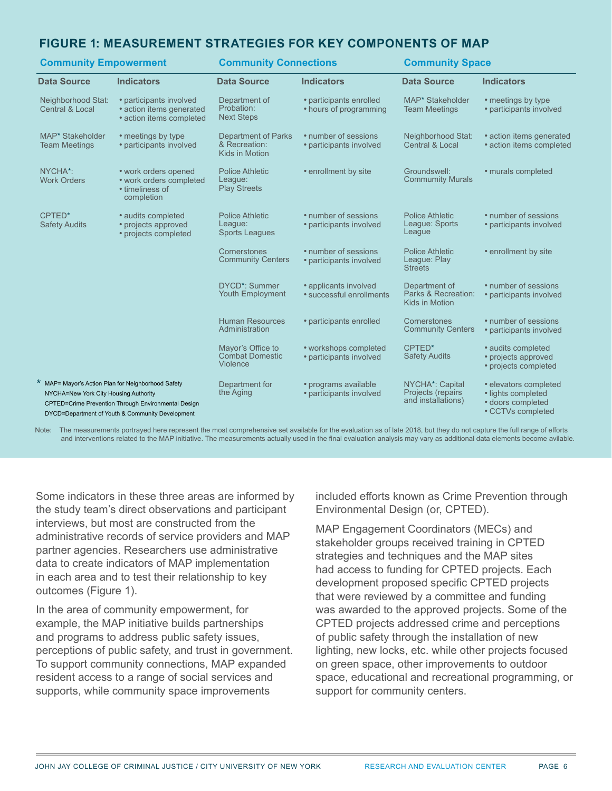#### **FIGURE 1: MEASUREMENT STRATEGIES FOR KEY COMPONENTS OF MAP**

| <b>Community Empowerment</b>                                                                                                                                                                           |                                                                                  | <b>Community Connections</b>                                  |                                                   | <b>Community Space</b>                                                  |                                                                                       |
|--------------------------------------------------------------------------------------------------------------------------------------------------------------------------------------------------------|----------------------------------------------------------------------------------|---------------------------------------------------------------|---------------------------------------------------|-------------------------------------------------------------------------|---------------------------------------------------------------------------------------|
| <b>Data Source</b>                                                                                                                                                                                     | <b>Indicators</b>                                                                | <b>Data Source</b>                                            | <b>Indicators</b>                                 | <b>Data Source</b>                                                      | <b>Indicators</b>                                                                     |
| Neighborhood Stat:<br>Central & Local                                                                                                                                                                  | • participants involved<br>• action items generated<br>• action items completed  | Department of<br>Probation:<br><b>Next Steps</b>              | • participants enrolled<br>• hours of programming | MAP* Stakeholder<br><b>Team Meetings</b>                                | • meetings by type<br>• participants involved                                         |
| MAP* Stakeholder<br><b>Team Meetings</b>                                                                                                                                                               | • meetings by type<br>• participants involved                                    | <b>Department of Parks</b><br>& Recreation:<br>Kids in Motion | • number of sessions<br>• participants involved   | Neighborhood Stat:<br><b>Central &amp; Local</b>                        | • action items generated<br>• action items completed                                  |
| NYCHA*:<br><b>Work Orders</b>                                                                                                                                                                          | • work orders opened<br>• work orders completed<br>• timeliness of<br>completion | <b>Police Athletic</b><br>League:<br><b>Play Streets</b>      | • enrollment by site                              | Groundswell:<br><b>Commumity Murals</b>                                 | • murals completed                                                                    |
| CPTED*<br><b>Safety Audits</b>                                                                                                                                                                         | • audits completed<br>• projects approved<br>• projects completed                | <b>Police Athletic</b><br>League:<br><b>Sports Leagues</b>    | • number of sessions<br>• participants involved   | <b>Police Athletic</b><br>League: Sports<br>League                      | • number of sessions<br>• participants involved                                       |
|                                                                                                                                                                                                        |                                                                                  | Cornerstones<br><b>Community Centers</b>                      | • number of sessions<br>• participants involved   | <b>Police Athletic</b><br>League: Play<br><b>Streets</b>                | • enrollment by site                                                                  |
|                                                                                                                                                                                                        |                                                                                  | DYCD*: Summer<br><b>Youth Employment</b>                      | • applicants involved<br>• successful enrollments | Department of<br>Parks & Recreation:<br>Kids in Motion                  | • number of sessions<br>• participants involved                                       |
|                                                                                                                                                                                                        |                                                                                  | <b>Human Resources</b><br>Administration                      | · participants enrolled                           | Cornerstones<br><b>Community Centers</b>                                | • number of sessions<br>• participants involved                                       |
|                                                                                                                                                                                                        |                                                                                  | Mayor's Office to<br><b>Combat Domestic</b><br>Violence       | • workshops completed<br>• participants involved  | CPTED*<br><b>Safety Audits</b>                                          | • audits completed<br>• projects approved<br>• projects completed                     |
| * MAP= Mayor's Action Plan for Neighborhood Safety<br>NYCHA=New York City Housing Authority<br>CPTED=Crime Prevention Through Environmental Design<br>DYCD=Department of Youth & Community Development |                                                                                  | Department for<br>the Aging                                   | • programs available<br>• participants involved   | NYCHA <sup>*</sup> : Capital<br>Projects (repairs<br>and installations) | • elevators completed<br>• lights completed<br>• doors completed<br>• CCTVs completed |

Note: The measurements portrayed here represent the most comprehensive set available for the evaluation as of late 2018, but they do not capture the full range of efforts and interventions related to the MAP initiative. The measurements actually used in the final evaluation analysis may vary as additional data elements become avilable.

Some indicators in these three areas are informed by the study team's direct observations and participant interviews, but most are constructed from the administrative records of service providers and MAP partner agencies. Researchers use administrative data to create indicators of MAP implementation in each area and to test their relationship to key outcomes (Figure 1).

In the area of community empowerment, for example, the MAP initiative builds partnerships and programs to address public safety issues, perceptions of public safety, and trust in government. To support community connections, MAP expanded resident access to a range of social services and supports, while community space improvements

included efforts known as Crime Prevention through Environmental Design (or, CPTED).

MAP Engagement Coordinators (MECs) and stakeholder groups received training in CPTED strategies and techniques and the MAP sites had access to funding for CPTED projects. Each development proposed specific CPTED projects that were reviewed by a committee and funding was awarded to the approved projects. Some of the CPTED projects addressed crime and perceptions of public safety through the installation of new lighting, new locks, etc. while other projects focused on green space, other improvements to outdoor space, educational and recreational programming, or support for community centers.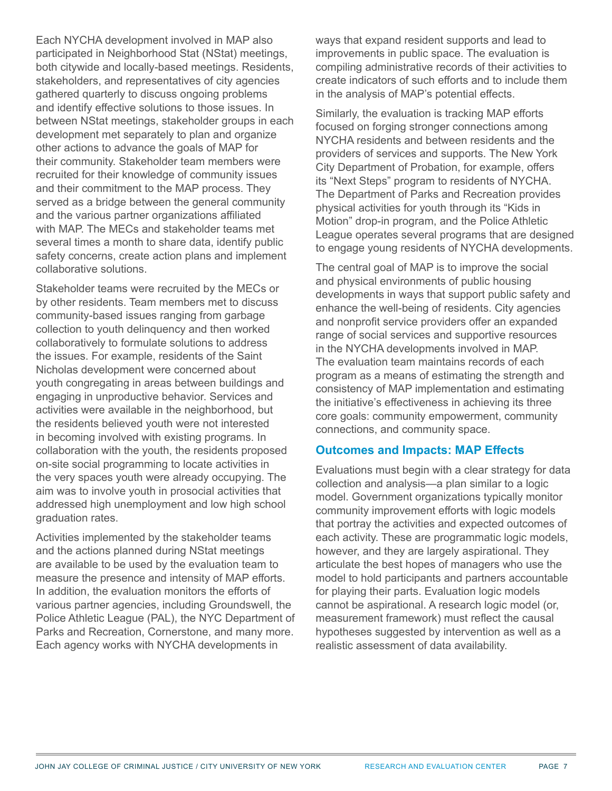Each NYCHA development involved in MAP also participated in Neighborhood Stat (NStat) meetings, both citywide and locally-based meetings. Residents, stakeholders, and representatives of city agencies gathered quarterly to discuss ongoing problems and identify effective solutions to those issues. In between NStat meetings, stakeholder groups in each development met separately to plan and organize other actions to advance the goals of MAP for their community. Stakeholder team members were recruited for their knowledge of community issues and their commitment to the MAP process. They served as a bridge between the general community and the various partner organizations affiliated with MAP. The MECs and stakeholder teams met several times a month to share data, identify public safety concerns, create action plans and implement collaborative solutions.

Stakeholder teams were recruited by the MECs or by other residents. Team members met to discuss community-based issues ranging from garbage collection to youth delinquency and then worked collaboratively to formulate solutions to address the issues. For example, residents of the Saint Nicholas development were concerned about youth congregating in areas between buildings and engaging in unproductive behavior. Services and activities were available in the neighborhood, but the residents believed youth were not interested in becoming involved with existing programs. In collaboration with the youth, the residents proposed on-site social programming to locate activities in the very spaces youth were already occupying. The aim was to involve youth in prosocial activities that addressed high unemployment and low high school graduation rates.

Activities implemented by the stakeholder teams and the actions planned during NStat meetings are available to be used by the evaluation team to measure the presence and intensity of MAP efforts. In addition, the evaluation monitors the efforts of various partner agencies, including Groundswell, the Police Athletic League (PAL), the NYC Department of Parks and Recreation, Cornerstone, and many more. Each agency works with NYCHA developments in

ways that expand resident supports and lead to improvements in public space. The evaluation is compiling administrative records of their activities to create indicators of such efforts and to include them in the analysis of MAP's potential effects.

Similarly, the evaluation is tracking MAP efforts focused on forging stronger connections among NYCHA residents and between residents and the providers of services and supports. The New York City Department of Probation, for example, offers its "Next Steps" program to residents of NYCHA. The Department of Parks and Recreation provides physical activities for youth through its "Kids in Motion" drop-in program, and the Police Athletic League operates several programs that are designed to engage young residents of NYCHA developments.

The central goal of MAP is to improve the social and physical environments of public housing developments in ways that support public safety and enhance the well-being of residents. City agencies and nonprofit service providers offer an expanded range of social services and supportive resources in the NYCHA developments involved in MAP. The evaluation team maintains records of each program as a means of estimating the strength and consistency of MAP implementation and estimating the initiative's effectiveness in achieving its three core goals: community empowerment, community connections, and community space.

#### **Outcomes and Impacts: MAP Effects**

Evaluations must begin with a clear strategy for data collection and analysis—a plan similar to a logic model. Government organizations typically monitor community improvement efforts with logic models that portray the activities and expected outcomes of each activity. These are programmatic logic models, however, and they are largely aspirational. They articulate the best hopes of managers who use the model to hold participants and partners accountable for playing their parts. Evaluation logic models cannot be aspirational. A research logic model (or, measurement framework) must reflect the causal hypotheses suggested by intervention as well as a realistic assessment of data availability.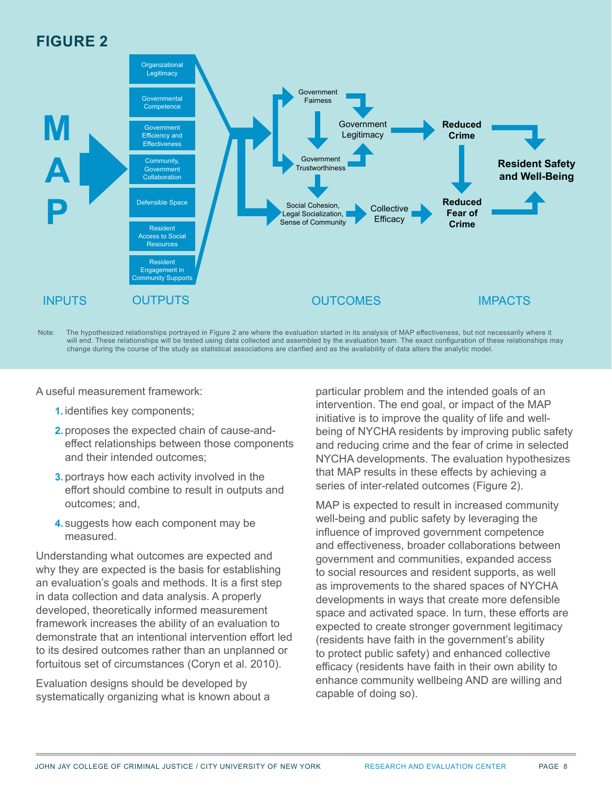### **FIGURE 2**



Note: The hypothesized relationships portrayed in Figure 2 are where the evaluation started in its analysis of MAP effectiveness, but not necessarily where it will end. These relationships will be tested using data collected and assembled by the evaluation team. The exact configuration of these relationships may change during the course of the study as statistical associations are clarified and as the availability of data alters the analytic model.

A useful measurement framework:

- **1.** identifies key components;
- **2.** proposes the expected chain of cause-andeffect relationships between those components and their intended outcomes;
- **3.** portrays how each activity involved in the effort should combine to result in outputs and outcomes; and,
- **4.** suggests how each component may be measured.

Understanding what outcomes are expected and why they are expected is the basis for establishing an evaluation's goals and methods. It is a first step in data collection and data analysis. A properly developed, theoretically informed measurement framework increases the ability of an evaluation to demonstrate that an intentional intervention effort led to its desired outcomes rather than an unplanned or fortuitous set of circumstances (Coryn et al. 2010).

Evaluation designs should be developed by systematically organizing what is known about a particular problem and the intended goals of an intervention. The end goal, or impact of the MAP initiative is to improve the quality of life and wellbeing of NYCHA residents by improving public safety and reducing crime and the fear of crime in selected NYCHA developments. The evaluation hypothesizes that MAP results in these effects by achieving a series of inter-related outcomes (Figure 2).

MAP is expected to result in increased community well-being and public safety by leveraging the influence of improved government competence and effectiveness, broader collaborations between government and communities, expanded access to social resources and resident supports, as well as improvements to the shared spaces of NYCHA developments in ways that create more defensible space and activated space. In turn, these efforts are expected to create stronger government legitimacy (residents have faith in the government's ability to protect public safety) and enhanced collective efficacy (residents have faith in their own ability to enhance community wellbeing AND are willing and capable of doing so).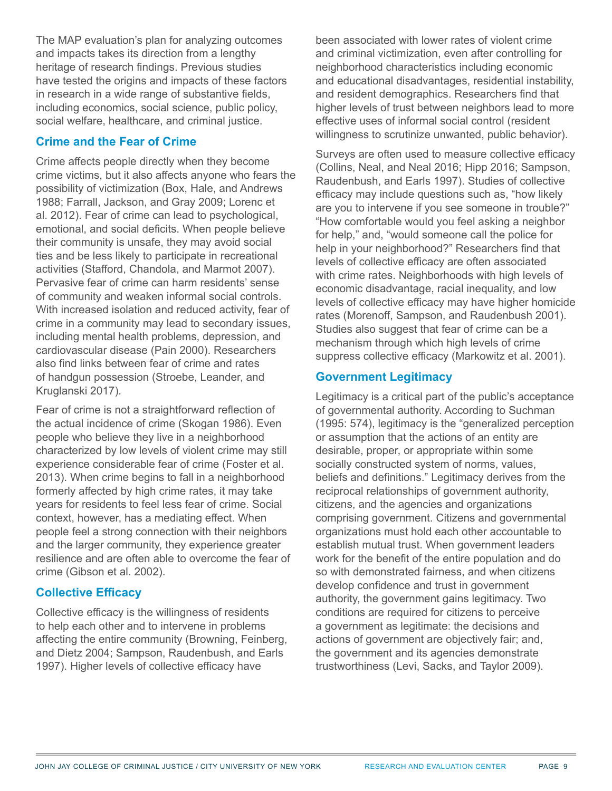The MAP evaluation's plan for analyzing outcomes and impacts takes its direction from a lengthy heritage of research findings. Previous studies have tested the origins and impacts of these factors in research in a wide range of substantive fields, including economics, social science, public policy, social welfare, healthcare, and criminal justice.

#### **Crime and the Fear of Crime**

Crime affects people directly when they become crime victims, but it also affects anyone who fears the possibility of victimization (Box, Hale, and Andrews 1988; Farrall, Jackson, and Gray 2009; Lorenc et al. 2012). Fear of crime can lead to psychological, emotional, and social deficits. When people believe their community is unsafe, they may avoid social ties and be less likely to participate in recreational activities (Stafford, Chandola, and Marmot 2007). Pervasive fear of crime can harm residents' sense of community and weaken informal social controls. With increased isolation and reduced activity, fear of crime in a community may lead to secondary issues, including mental health problems, depression, and cardiovascular disease (Pain 2000). Researchers also find links between fear of crime and rates of handgun possession (Stroebe, Leander, and Kruglanski 2017).

Fear of crime is not a straightforward reflection of the actual incidence of crime (Skogan 1986). Even people who believe they live in a neighborhood characterized by low levels of violent crime may still experience considerable fear of crime (Foster et al. 2013). When crime begins to fall in a neighborhood formerly affected by high crime rates, it may take years for residents to feel less fear of crime. Social context, however, has a mediating effect. When people feel a strong connection with their neighbors and the larger community, they experience greater resilience and are often able to overcome the fear of crime (Gibson et al. 2002).

#### **Collective Efficacy**

Collective efficacy is the willingness of residents to help each other and to intervene in problems affecting the entire community (Browning, Feinberg, and Dietz 2004; Sampson, Raudenbush, and Earls 1997). Higher levels of collective efficacy have

been associated with lower rates of violent crime and criminal victimization, even after controlling for neighborhood characteristics including economic and educational disadvantages, residential instability, and resident demographics. Researchers find that higher levels of trust between neighbors lead to more effective uses of informal social control (resident willingness to scrutinize unwanted, public behavior).

Surveys are often used to measure collective efficacy (Collins, Neal, and Neal 2016; Hipp 2016; Sampson, Raudenbush, and Earls 1997). Studies of collective efficacy may include questions such as, "how likely are you to intervene if you see someone in trouble?" "How comfortable would you feel asking a neighbor for help," and, "would someone call the police for help in your neighborhood?" Researchers find that levels of collective efficacy are often associated with crime rates. Neighborhoods with high levels of economic disadvantage, racial inequality, and low levels of collective efficacy may have higher homicide rates (Morenoff, Sampson, and Raudenbush 2001). Studies also suggest that fear of crime can be a mechanism through which high levels of crime suppress collective efficacy (Markowitz et al. 2001).

#### **Government Legitimacy**

Legitimacy is a critical part of the public's acceptance of governmental authority. According to Suchman (1995: 574), legitimacy is the "generalized perception or assumption that the actions of an entity are desirable, proper, or appropriate within some socially constructed system of norms, values, beliefs and definitions." Legitimacy derives from the reciprocal relationships of government authority, citizens, and the agencies and organizations comprising government. Citizens and governmental organizations must hold each other accountable to establish mutual trust. When government leaders work for the benefit of the entire population and do so with demonstrated fairness, and when citizens develop confidence and trust in government authority, the government gains legitimacy. Two conditions are required for citizens to perceive a government as legitimate: the decisions and actions of government are objectively fair; and, the government and its agencies demonstrate trustworthiness (Levi, Sacks, and Taylor 2009).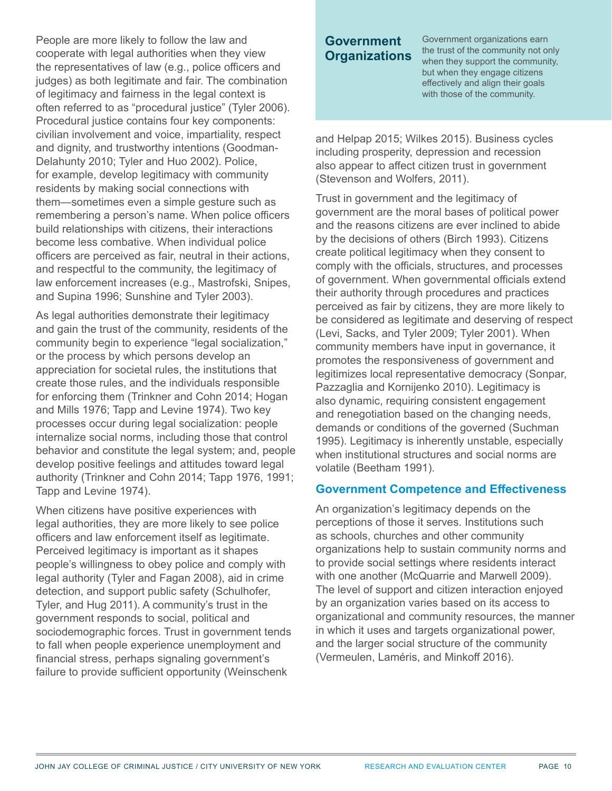People are more likely to follow the law and cooperate with legal authorities when they view the representatives of law (e.g., police officers and judges) as both legitimate and fair. The combination of legitimacy and fairness in the legal context is often referred to as "procedural justice" (Tyler 2006). Procedural justice contains four key components: civilian involvement and voice, impartiality, respect and dignity, and trustworthy intentions (Goodman-Delahunty 2010; Tyler and Huo 2002). Police, for example, develop legitimacy with community residents by making social connections with them—sometimes even a simple gesture such as remembering a person's name. When police officers build relationships with citizens, their interactions become less combative. When individual police officers are perceived as fair, neutral in their actions, and respectful to the community, the legitimacy of law enforcement increases (e.g., Mastrofski, Snipes, and Supina 1996; Sunshine and Tyler 2003).

As legal authorities demonstrate their legitimacy and gain the trust of the community, residents of the community begin to experience "legal socialization," or the process by which persons develop an appreciation for societal rules, the institutions that create those rules, and the individuals responsible for enforcing them (Trinkner and Cohn 2014; Hogan and Mills 1976; Tapp and Levine 1974). Two key processes occur during legal socialization: people internalize social norms, including those that control behavior and constitute the legal system; and, people develop positive feelings and attitudes toward legal authority (Trinkner and Cohn 2014; Tapp 1976, 1991; Tapp and Levine 1974).

When citizens have positive experiences with legal authorities, they are more likely to see police officers and law enforcement itself as legitimate. Perceived legitimacy is important as it shapes people's willingness to obey police and comply with legal authority (Tyler and Fagan 2008), aid in crime detection, and support public safety (Schulhofer, Tyler, and Hug 2011). A community's trust in the government responds to social, political and sociodemographic forces. Trust in government tends to fall when people experience unemployment and financial stress, perhaps signaling government's failure to provide sufficient opportunity (Weinschenk

#### **Government Organizations**

Government organizations earn the trust of the community not only when they support the community, but when they engage citizens effectively and align their goals with those of the community.

and Helpap 2015; Wilkes 2015). Business cycles including prosperity, depression and recession also appear to affect citizen trust in government (Stevenson and Wolfers, 2011).

Trust in government and the legitimacy of government are the moral bases of political power and the reasons citizens are ever inclined to abide by the decisions of others (Birch 1993). Citizens create political legitimacy when they consent to comply with the officials, structures, and processes of government. When governmental officials extend their authority through procedures and practices perceived as fair by citizens, they are more likely to be considered as legitimate and deserving of respect (Levi, Sacks, and Tyler 2009; Tyler 2001). When community members have input in governance, it promotes the responsiveness of government and legitimizes local representative democracy (Sonpar, Pazzaglia and Kornijenko 2010). Legitimacy is also dynamic, requiring consistent engagement and renegotiation based on the changing needs, demands or conditions of the governed (Suchman 1995). Legitimacy is inherently unstable, especially when institutional structures and social norms are volatile (Beetham 1991).

#### **Government Competence and Effectiveness**

An organization's legitimacy depends on the perceptions of those it serves. Institutions such as schools, churches and other community organizations help to sustain community norms and to provide social settings where residents interact with one another (McQuarrie and Marwell 2009). The level of support and citizen interaction enjoyed by an organization varies based on its access to organizational and community resources, the manner in which it uses and targets organizational power, and the larger social structure of the community (Vermeulen, Laméris, and Minkoff 2016).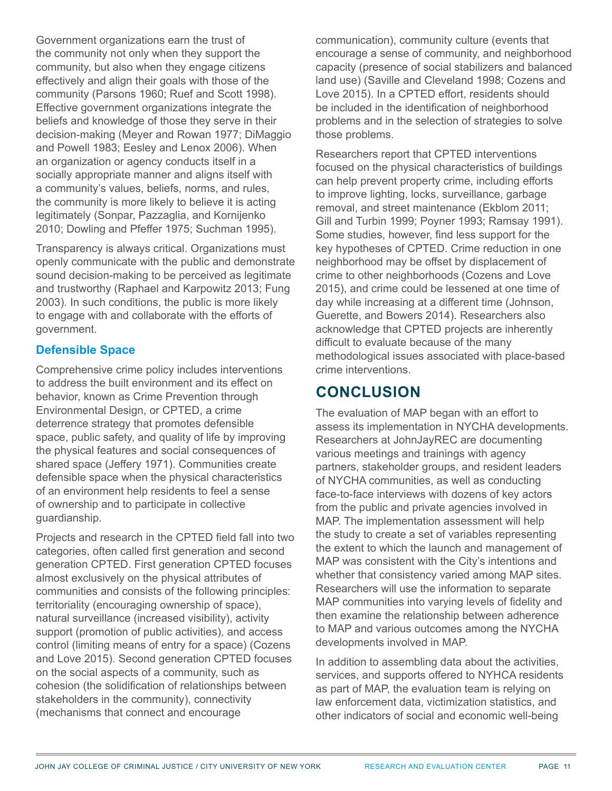Government organizations earn the trust of the community not only when they support the community, but also when they engage citizens effectively and align their goals with those of the community (Parsons 1960; Ruef and Scott 1998). Effective government organizations integrate the beliefs and knowledge of those they serve in their decision-making (Meyer and Rowan 1977; DiMaggio and Powell 1983; Eesley and Lenox 2006). When an organization or agency conducts itself in a socially appropriate manner and aligns itself with a community's values, beliefs, norms, and rules, the community is more likely to believe it is acting legitimately (Sonpar, Pazzaglia, and Kornijenko 2010; Dowling and Pfeffer 1975; Suchman 1995).

Transparency is always critical. Organizations must openly communicate with the public and demonstrate sound decision-making to be perceived as legitimate and trustworthy (Raphael and Karpowitz 2013; Fung 2003). In such conditions, the public is more likely to engage with and collaborate with the efforts of government.

#### **Defensible Space**

Comprehensive crime policy includes interventions to address the built environment and its effect on behavior, known as Crime Prevention through Environmental Design, or CPTED, a crime deterrence strategy that promotes defensible space, public safety, and quality of life by improving the physical features and social consequences of shared space (Jeffery 1971). Communities create defensible space when the physical characteristics of an environment help residents to feel a sense of ownership and to participate in collective guardianship.

Projects and research in the CPTED field fall into two categories, often called first generation and second generation CPTED. First generation CPTED focuses almost exclusively on the physical attributes of communities and consists of the following principles: territoriality (encouraging ownership of space), natural surveillance (increased visibility), activity support (promotion of public activities), and access control (limiting means of entry for a space) (Cozens and Love 2015). Second generation CPTED focuses on the social aspects of a community, such as cohesion (the solidification of relationships between stakeholders in the community), connectivity (mechanisms that connect and encourage

communication), community culture (events that encourage a sense of community, and neighborhood capacity (presence of social stabilizers and balanced land use) (Saville and Cleveland 1998; Cozens and Love 2015). In a CPTED effort, residents should be included in the identification of neighborhood problems and in the selection of strategies to solve those problems.

Researchers report that CPTED interventions focused on the physical characteristics of buildings can help prevent property crime, including efforts to improve lighting, locks, surveillance, garbage removal, and street maintenance (Ekblom 2011; Gill and Turbin 1999; Poyner 1993; Ramsay 1991). Some studies, however, find less support for the key hypotheses of CPTED. Crime reduction in one neighborhood may be offset by displacement of crime to other neighborhoods (Cozens and Love 2015), and crime could be lessened at one time of day while increasing at a different time (Johnson, Guerette, and Bowers 2014). Researchers also acknowledge that CPTED projects are inherently difficult to evaluate because of the many methodological issues associated with place-based crime interventions.

### **CONCLUSION**

The evaluation of MAP began with an effort to assess its implementation in NYCHA developments. Researchers at JohnJayREC are documenting various meetings and trainings with agency partners, stakeholder groups, and resident leaders of NYCHA communities, as well as conducting face-to-face interviews with dozens of key actors from the public and private agencies involved in MAP. The implementation assessment will help the study to create a set of variables representing the extent to which the launch and management of MAP was consistent with the City's intentions and whether that consistency varied among MAP sites. Researchers will use the information to separate MAP communities into varying levels of fidelity and then examine the relationship between adherence to MAP and various outcomes among the NYCHA developments involved in MAP.

In addition to assembling data about the activities, services, and supports offered to NYHCA residents as part of MAP, the evaluation team is relying on law enforcement data, victimization statistics, and other indicators of social and economic well-being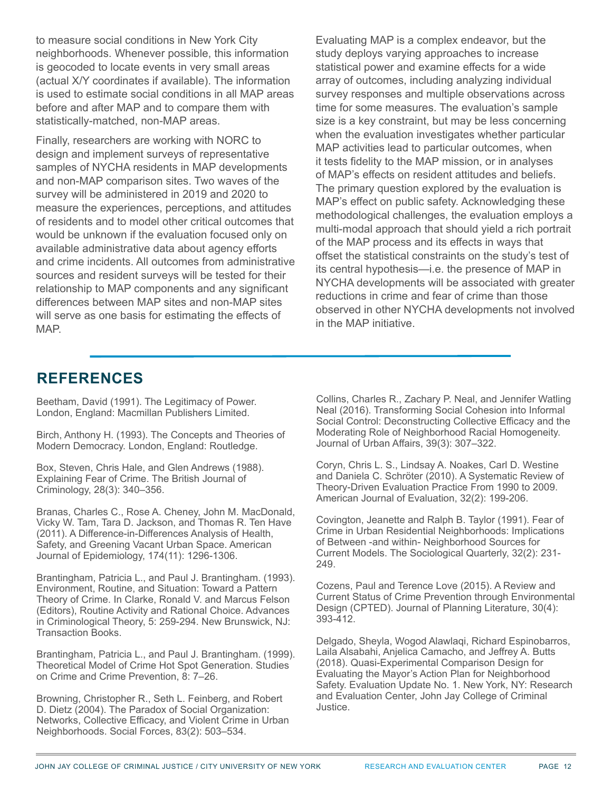to measure social conditions in New York City neighborhoods. Whenever possible, this information is geocoded to locate events in very small areas (actual X/Y coordinates if available). The information is used to estimate social conditions in all MAP areas before and after MAP and to compare them with statistically-matched, non-MAP areas.

Finally, researchers are working with NORC to design and implement surveys of representative samples of NYCHA residents in MAP developments and non-MAP comparison sites. Two waves of the survey will be administered in 2019 and 2020 to measure the experiences, perceptions, and attitudes of residents and to model other critical outcomes that would be unknown if the evaluation focused only on available administrative data about agency efforts and crime incidents. All outcomes from administrative sources and resident surveys will be tested for their relationship to MAP components and any significant differences between MAP sites and non-MAP sites will serve as one basis for estimating the effects of MAP.

Evaluating MAP is a complex endeavor, but the study deploys varying approaches to increase statistical power and examine effects for a wide array of outcomes, including analyzing individual survey responses and multiple observations across time for some measures. The evaluation's sample size is a key constraint, but may be less concerning when the evaluation investigates whether particular MAP activities lead to particular outcomes, when it tests fidelity to the MAP mission, or in analyses of MAP's effects on resident attitudes and beliefs. The primary question explored by the evaluation is MAP's effect on public safety. Acknowledging these methodological challenges, the evaluation employs a multi-modal approach that should yield a rich portrait of the MAP process and its effects in ways that offset the statistical constraints on the study's test of its central hypothesis—i.e. the presence of MAP in NYCHA developments will be associated with greater reductions in crime and fear of crime than those observed in other NYCHA developments not involved in the MAP initiative.

### **REFERENCES**

Beetham, David (1991). The Legitimacy of Power. London, England: Macmillan Publishers Limited.

Birch, Anthony H. (1993). The Concepts and Theories of Modern Democracy. London, England: Routledge.

Box, Steven, Chris Hale, and Glen Andrews (1988). Explaining Fear of Crime. The British Journal of Criminology, 28(3): 340–356.

Branas, Charles C., Rose A. Cheney, John M. MacDonald, Vicky W. Tam, Tara D. Jackson, and Thomas R. Ten Have (2011). A Difference-in-Differences Analysis of Health, Safety, and Greening Vacant Urban Space. American Journal of Epidemiology, 174(11): 1296-1306.

Brantingham, Patricia L., and Paul J. Brantingham. (1993). Environment, Routine, and Situation: Toward a Pattern Theory of Crime. In Clarke, Ronald V. and Marcus Felson (Editors), Routine Activity and Rational Choice. Advances in Criminological Theory, 5: 259-294. New Brunswick, NJ: Transaction Books.

Brantingham, Patricia L., and Paul J. Brantingham. (1999). Theoretical Model of Crime Hot Spot Generation. Studies on Crime and Crime Prevention, 8: 7–26.

Browning, Christopher R., Seth L. Feinberg, and Robert D. Dietz (2004). The Paradox of Social Organization: Networks, Collective Efficacy, and Violent Crime in Urban Neighborhoods. Social Forces, 83(2): 503–534.

Collins, Charles R., Zachary P. Neal, and Jennifer Watling Neal (2016). Transforming Social Cohesion into Informal Social Control: Deconstructing Collective Efficacy and the Moderating Role of Neighborhood Racial Homogeneity. Journal of Urban Affairs, 39(3): 307–322.

Coryn, Chris L. S., Lindsay A. Noakes, Carl D. Westine and Daniela C. Schröter (2010). A Systematic Review of Theory-Driven Evaluation Practice From 1990 to 2009. American Journal of Evaluation, 32(2): 199-206.

Covington, Jeanette and Ralph B. Taylor (1991). Fear of Crime in Urban Residential Neighborhoods: Implications of Between -and within- Neighborhood Sources for Current Models. The Sociological Quarterly, 32(2): 231- 249.

Cozens, Paul and Terence Love (2015). A Review and Current Status of Crime Prevention through Environmental Design (CPTED). Journal of Planning Literature, 30(4): 393-412.

Delgado, Sheyla, Wogod Alawlaqi, Richard Espinobarros, Laila Alsabahi, Anjelica Camacho, and Jeffrey A. Butts (2018). Quasi-Experimental Comparison Design for Evaluating the Mayor's Action Plan for Neighborhood Safety. Evaluation Update No. 1. New York, NY: Research and Evaluation Center, John Jay College of Criminal Justice.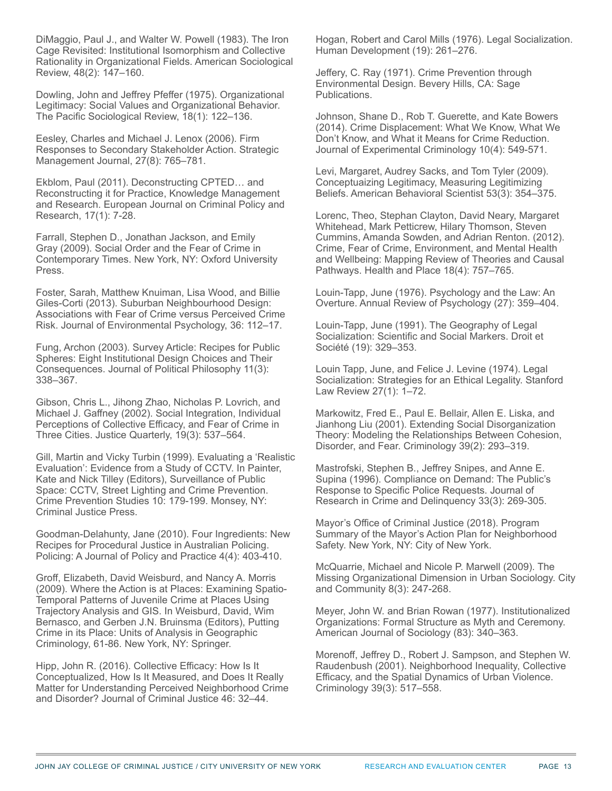DiMaggio, Paul J., and Walter W. Powell (1983). The Iron Cage Revisited: Institutional Isomorphism and Collective Rationality in Organizational Fields. American Sociological Review, 48(2): 147–160.

Dowling, John and Jeffrey Pfeffer (1975). [Organizational](https://doi.org/10.2307/1388226)  [Legitimacy: Social Values and Organizational Behavior.](https://doi.org/10.2307/1388226) The Pacific Sociological Review, 18(1): 122–136.

Eesley, Charles and Michael J. Lenox (2006). [Firm](https://doi.org/10.1002/smj.536)  [Responses to Secondary Stakeholder Action.](https://doi.org/10.1002/smj.536) Strategic Management Journal, 27(8): 765–781.

Ekblom, Paul (2011). [Deconstructing CPTED… and](https://doi.org/10.1007/s10610-010-9132-9)  [Reconstructing it for Practice, Knowledge Management](https://doi.org/10.1007/s10610-010-9132-9)  [and Research](https://doi.org/10.1007/s10610-010-9132-9). European Journal on Criminal Policy and Research, 17(1): 7-28.

Farrall, Stephen D., Jonathan Jackson, and Emily Gray (2009). [Social Order and the Fear of Crime in](https://global.oup.com/academic/product/social-order-and-the-fear-of-crime-in-contemporary-times-9780199540815?lang=en&cc=us)  [Contemporary Times.](https://global.oup.com/academic/product/social-order-and-the-fear-of-crime-in-contemporary-times-9780199540815?lang=en&cc=us) New York, NY: Oxford University Press.

Foster, Sarah, Matthew Knuiman, Lisa Wood, and Billie Giles-Corti (2013). [Suburban Neighbourhood Design:](https://doi.org/10.1016/j.jenvp.2013.07.015)  [Associations with Fear of Crime versus Perceived Crime](https://doi.org/10.1016/j.jenvp.2013.07.015)  [Risk](https://doi.org/10.1016/j.jenvp.2013.07.015). Journal of Environmental Psychology, 36: 112–17.

Fung, Archon (2003). Survey Article: [Recipes for Public](https://doi.org/10.1111/1467-9760.00181)  [Spheres: Eight Institutional Design Choices and Their](https://doi.org/10.1111/1467-9760.00181)  [Consequences.](https://doi.org/10.1111/1467-9760.00181) Journal of Political Philosophy 11(3): 338–367.

Gibson, Chris L., Jihong Zhao, Nicholas P. Lovrich, and Michael J. Gaffney (2002). [Social Integration, Individual](https://doi.org/10.1080/07418820200095341)  [Perceptions of Collective Efficacy, and Fear of Crime in](https://doi.org/10.1080/07418820200095341)  [Three Cities.](https://doi.org/10.1080/07418820200095341) Justice Quarterly, 19(3): 537–564.

Gill, Martin and Vicky Turbin (1999). [Evaluating a 'Realistic](https://www.rienner.com/title/Surveillance_of_Public_Space_CCTV_Street_Lighting_and_Crime_Prevention)  [Evaluation': Evidence from a Study of CCTV](https://www.rienner.com/title/Surveillance_of_Public_Space_CCTV_Street_Lighting_and_Crime_Prevention). In Painter, Kate and Nick Tilley (Editors), [Surveillance of Public](https://www.rienner.com/title/Surveillance_of_Public_Space_CCTV_Street_Lighting_and_Crime_Prevention)  [Space: CCTV, Street Lighting and Crime Prevention.](https://www.rienner.com/title/Surveillance_of_Public_Space_CCTV_Street_Lighting_and_Crime_Prevention) Crime Prevention Studies 10: 179-199. Monsey, NY: Criminal Justice Press.

Goodman-Delahunty, Jane (2010). [Four Ingredients: New](https://doi.org/10.1093/police/paq041)  [Recipes for Procedural Justice in Australian Policing.](https://doi.org/10.1093/police/paq041) Policing: A Journal of Policy and Practice 4(4): 403-410.

Groff, Elizabeth, David Weisburd, and Nancy A. Morris (2009). Where the Action is at Places: Examining Spatio-Temporal Patterns of Juvenile Crime at Places Using Trajectory Analysis and GIS. In Weisburd, David, Wim Bernasco, and Gerben J.N. Bruinsma (Editors), [Putting](https://doi.org/10.1007/978-0-387-09688-9)  [Crime in its Place: Units of Analysis in Geographic](https://doi.org/10.1007/978-0-387-09688-9)  [Criminology](https://doi.org/10.1007/978-0-387-09688-9), 61-86. New York, NY: Springer.

Hipp, John R. (2016). Collective Efficacy: How Is It Conceptualized, How Is It Measured, and Does It Really Matter for Understanding Perceived Neighborhood Crime and Disorder? Journal of Criminal Justice 46: 32–44.

Hogan, Robert and Carol Mills (1976). Legal Socialization. Human Development (19): 261–276.

Jeffery, C. Ray (1971). Crime Prevention through Environmental Design. Bevery Hills, CA: Sage Publications.

Johnson, Shane D., Rob T. Guerette, and Kate Bowers (2014). Crime Displacement: What We Know, What We Don't Know, and What it Means for Crime Reduction. Journal of Experimental Criminology 10(4): 549-571.

Levi, Margaret, Audrey Sacks, and Tom Tyler (2009). Conceptuaizing Legitimacy, Measuring Legitimizing Beliefs. American Behavioral Scientist 53(3): 354–375.

Lorenc, Theo, Stephan Clayton, David Neary, Margaret Whitehead, Mark Petticrew, Hilary Thomson, Steven Cummins, Amanda Sowden, and Adrian Renton. (2012). Crime, Fear of Crime, Environment, and Mental Health and Wellbeing: Mapping Review of Theories and Causal Pathways. Health and Place 18(4): 757–765.

Louin-Tapp, June (1976). Psychology and the Law: An Overture. Annual Review of Psychology (27): 359–404.

Louin-Tapp, June (1991). The Geography of Legal Socialization: Scientific and Social Markers. Droit et Société (19): 329–353.

Louin Tapp, June, and Felice J. Levine (1974). Legal Socialization: Strategies for an Ethical Legality. Stanford Law Review 27(1): 1–72.

Markowitz, Fred E., Paul E. Bellair, Allen E. Liska, and Jianhong Liu (2001). Extending Social Disorganization Theory: Modeling the Relationships Between Cohesion, Disorder, and Fear. Criminology 39(2): 293–319.

Mastrofski, Stephen B., Jeffrey Snipes, and Anne E. Supina (1996). Compliance on Demand: The Public's Response to Specific Police Requests. Journal of Research in Crime and Delinquency 33(3): 269-305.

Mayor's Office of Criminal Justice (2018). Program Summary of the Mayor's Action Plan for Neighborhood Safety. New York, NY: City of New York.

McQuarrie, Michael and Nicole P. Marwell (2009). The Missing Organizational Dimension in Urban Sociology. City and Community 8(3): 247-268.

Meyer, John W. and Brian Rowan (1977). Institutionalized Organizations: Formal Structure as Myth and Ceremony. American Journal of Sociology (83): 340–363.

Morenoff, Jeffrey D., Robert J. Sampson, and Stephen W. Raudenbush (2001). Neighborhood Inequality, Collective Efficacy, and the Spatial Dynamics of Urban Violence. Criminology 39(3): 517–558.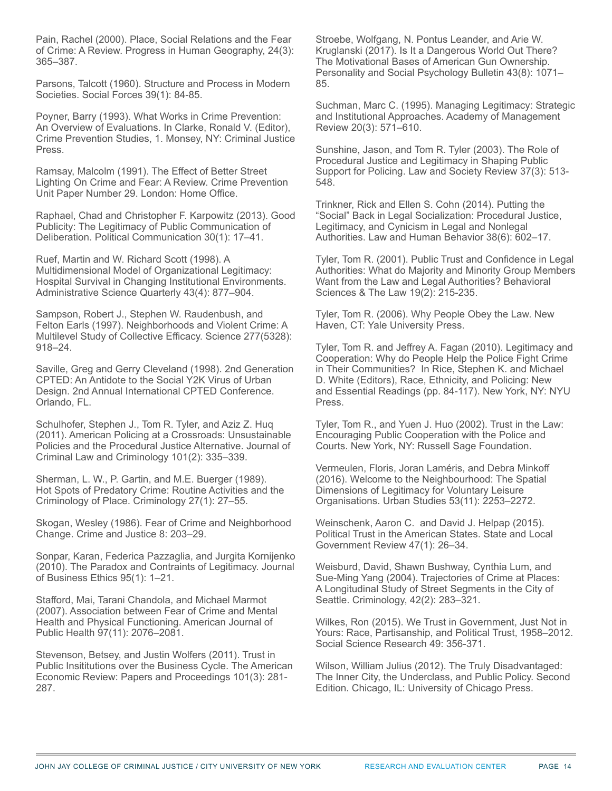Pain, Rachel (2000). Place, Social Relations and the Fear of Crime: A Review. Progress in Human Geography, 24(3): 365–387.

Parsons, Talcott (1960). Structure and Process in Modern Societies. Social Forces 39(1): 84-85.

Poyner, Barry (1993). What Works in Crime Prevention: An Overview of Evaluations. In Clarke, Ronald V. (Editor), Crime Prevention Studies, 1. Monsey, NY: Criminal Justice Press.

Ramsay, Malcolm (1991). The Effect of Better Street Lighting On Crime and Fear: A Review. Crime Prevention Unit Paper Number 29. London: Home Office.

Raphael, Chad and Christopher F. Karpowitz (2013). Good Publicity: The Legitimacy of Public Communication of Deliberation. Political Communication 30(1): 17–41.

Ruef, Martin and W. Richard Scott (1998). A Multidimensional Model of Organizational Legitimacy: Hospital Survival in Changing Institutional Environments. Administrative Science Quarterly 43(4): 877–904.

Sampson, Robert J., Stephen W. Raudenbush, and Felton Earls (1997). Neighborhoods and Violent Crime: A Multilevel Study of Collective Efficacy. Science 277(5328): 918–24.

Saville, Greg and Gerry Cleveland (1998). 2nd Generation CPTED: An Antidote to the Social Y2K Virus of Urban Design. 2nd Annual International CPTED Conference. Orlando, FL.

Schulhofer, Stephen J., Tom R. Tyler, and Aziz Z. Huq (2011). American Policing at a Crossroads: Unsustainable Policies and the Procedural Justice Alternative. Journal of Criminal Law and Criminology 101(2): 335–339.

Sherman, L. W., P. Gartin, and M.E. Buerger (1989). Hot Spots of Predatory Crime: Routine Activities and the Criminology of Place. Criminology 27(1): 27–55.

Skogan, Wesley (1986). Fear of Crime and Neighborhood Change. Crime and Justice 8: 203–29.

Sonpar, Karan, Federica Pazzaglia, and Jurgita Kornijenko (2010). The Paradox and Contraints of Legitimacy. Journal of Business Ethics 95(1): 1–21.

Stafford, Mai, Tarani Chandola, and Michael Marmot (2007). Association between Fear of Crime and Mental Health and Physical Functioning. American Journal of Public Health 97(11): 2076–2081.

Stevenson, Betsey, and Justin Wolfers (2011). Trust in Public Insititutions over the Business Cycle. The American Economic Review: Papers and Proceedings 101(3): 281- 287.

Stroebe, Wolfgang, N. Pontus Leander, and Arie W. Kruglanski (2017). Is It a Dangerous World Out There? The Motivational Bases of American Gun Ownership. Personality and Social Psychology Bulletin 43(8): 1071– 85.

Suchman, Marc C. (1995). Managing Legitimacy: Strategic and Institutional Approaches. Academy of Management Review 20(3): 571–610.

Sunshine, Jason, and Tom R. Tyler (2003). The Role of Procedural Justice and Legitimacy in Shaping Public Support for Policing. Law and Society Review 37(3): 513- 548.

Trinkner, Rick and Ellen S. Cohn (2014). Putting the "Social" Back in Legal Socialization: Procedural Justice, Legitimacy, and Cynicism in Legal and Nonlegal Authorities. Law and Human Behavior 38(6): 602–17.

Tyler, Tom R. (2001). Public Trust and Confidence in Legal Authorities: What do Majority and Minority Group Members Want from the Law and Legal Authorities? Behavioral Sciences & The Law 19(2): 215-235.

Tyler, Tom R. (2006). Why People Obey the Law. New Haven, CT: Yale University Press.

Tyler, Tom R. and Jeffrey A. Fagan (2010). Legitimacy and Cooperation: Why do People Help the Police Fight Crime in Their Communities? In Rice, Stephen K. and Michael D. White (Editors), Race, Ethnicity, and Policing: New and Essential Readings (pp. 84-117). New York, NY: NYU Press.

Tyler, Tom R., and Yuen J. Huo (2002). Trust in the Law: Encouraging Public Cooperation with the Police and Courts. New York, NY: Russell Sage Foundation.

Vermeulen, Floris, Joran Laméris, and Debra Minkoff (2016). Welcome to the Neighbourhood: The Spatial Dimensions of Legitimacy for Voluntary Leisure Organisations. Urban Studies 53(11): 2253–2272.

Weinschenk, Aaron C. and David J. Helpap (2015). Political Trust in the American States. State and Local Government Review 47(1): 26–34.

Weisburd, David, Shawn Bushway, Cynthia Lum, and Sue-Ming Yang (2004). Trajectories of Crime at Places: A Longitudinal Study of Street Segments in the City of Seattle. Criminology, 42(2): 283–321.

Wilkes, Ron (2015). We Trust in Government, Just Not in Yours: Race, Partisanship, and Political Trust, 1958–2012. Social Science Research 49: 356-371.

Wilson, William Julius (2012). The Truly Disadvantaged: The Inner City, the Underclass, and Public Policy. Second Edition. Chicago, IL: University of Chicago Press.